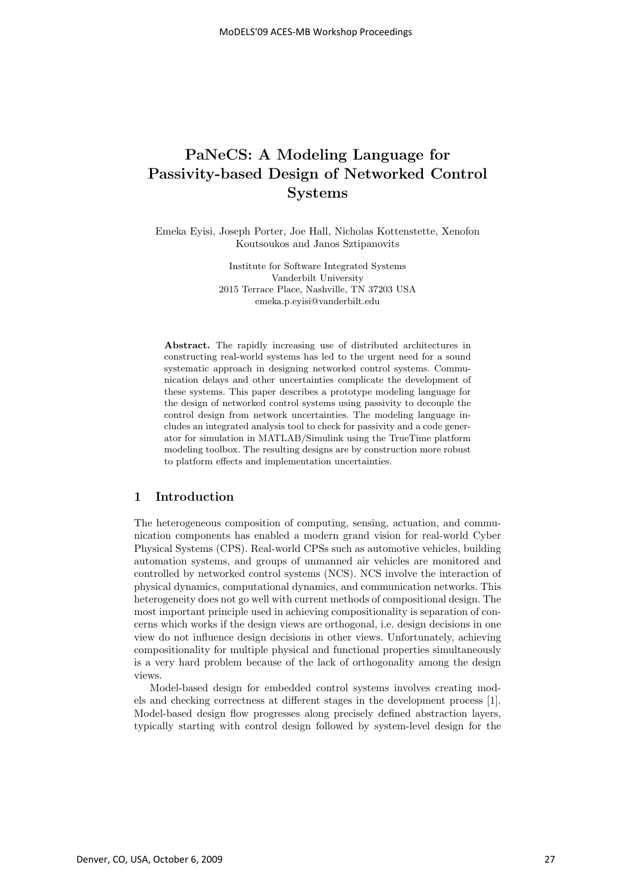# **PaNeCS: A Modeling Language for Passivity-based Design of Networked Control Systems**

Emeka Eyisi, Joseph Porter, Joe Hall, Nicholas Kottenstette, Xenofon Koutsoukos and Janos Sztipanovits

> Institute for Software Integrated Systems Vanderbilt University 2015 Terrace Place, Nashville, TN 37203 USA emeka.p.eyisi@vanderbilt.edu

**Abstract.** The rapidly increasing use of distributed architectures in constructing real-world systems has led to the urgent need for a sound systematic approach in designing networked control systems. Communication delays and other uncertainties complicate the development of these systems. This paper describes a prototype modeling language for the design of networked control systems using passivity to decouple the control design from network uncertainties. The modeling language includes an integrated analysis tool to check for passivity and a code generator for simulation in MATLAB/Simulink using the TrueTime platform modeling toolbox. The resulting designs are by construction more robust to platform effects and implementation uncertainties.

## **1 Introduction**

The heterogeneous composition of computing, sensing, actuation, and communication components has enabled a modern grand vision for real-world Cyber Physical Systems (CPS). Real-world CPSs such as automotive vehicles, building automation systems, and groups of unmanned air vehicles are monitored and controlled by networked control systems (NCS). NCS involve the interaction of physical dynamics, computational dynamics, and communication networks. This heterogeneity does not go well with current methods of compositional design. The most important principle used in achieving compositionality is separation of concerns which works if the design views are orthogonal, i.e. design decisions in one view do not influence design decisions in other views. Unfortunately, achieving compositionality for multiple physical and functional properties simultaneously is a very hard problem because of the lack of orthogonality among the design views.

Model-based design for embedded control systems involves creating models and checking correctness at different stages in the development process [1]. Model-based design flow progresses along precisely defined abstraction layers, typically starting with control design followed by system-level design for the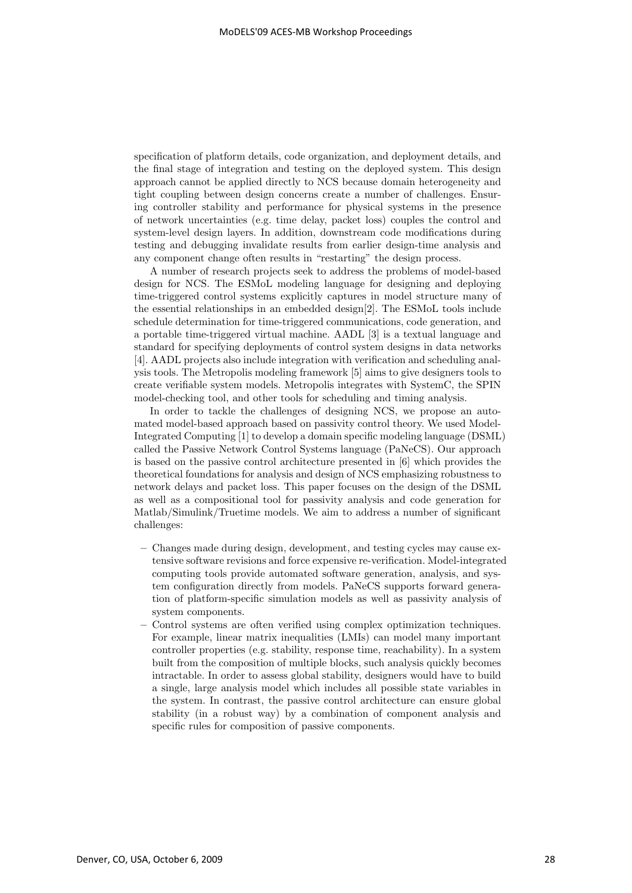specification of platform details, code organization, and deployment details, and the final stage of integration and testing on the deployed system. This design approach cannot be applied directly to NCS because domain heterogeneity and tight coupling between design concerns create a number of challenges. Ensuring controller stability and performance for physical systems in the presence of network uncertainties (e.g. time delay, packet loss) couples the control and system-level design layers. In addition, downstream code modifications during testing and debugging invalidate results from earlier design-time analysis and any component change often results in "restarting" the design process.

A number of research projects seek to address the problems of model-based design for NCS. The ESMoL modeling language for designing and deploying time-triggered control systems explicitly captures in model structure many of the essential relationships in an embedded design[2]. The ESMoL tools include schedule determination for time-triggered communications, code generation, and a portable time-triggered virtual machine. AADL [3] is a textual language and standard for specifying deployments of control system designs in data networks [4]. AADL projects also include integration with verification and scheduling analysis tools. The Metropolis modeling framework [5] aims to give designers tools to create verifiable system models. Metropolis integrates with SystemC, the SPIN model-checking tool, and other tools for scheduling and timing analysis.

In order to tackle the challenges of designing NCS, we propose an automated model-based approach based on passivity control theory. We used Model-Integrated Computing [1] to develop a domain specific modeling language (DSML) called the Passive Network Control Systems language (PaNeCS). Our approach is based on the passive control architecture presented in [6] which provides the theoretical foundations for analysis and design of NCS emphasizing robustness to network delays and packet loss. This paper focuses on the design of the DSML as well as a compositional tool for passivity analysis and code generation for Matlab/Simulink/Truetime models. We aim to address a number of significant challenges:

- **–** Changes made during design, development, and testing cycles may cause extensive software revisions and force expensive re-verification. Model-integrated computing tools provide automated software generation, analysis, and system configuration directly from models. PaNeCS supports forward generation of platform-specific simulation models as well as passivity analysis of system components.
- **–** Control systems are often verified using complex optimization techniques. For example, linear matrix inequalities (LMIs) can model many important controller properties (e.g. stability, response time, reachability). In a system built from the composition of multiple blocks, such analysis quickly becomes intractable. In order to assess global stability, designers would have to build a single, large analysis model which includes all possible state variables in the system. In contrast, the passive control architecture can ensure global stability (in a robust way) by a combination of component analysis and specific rules for composition of passive components.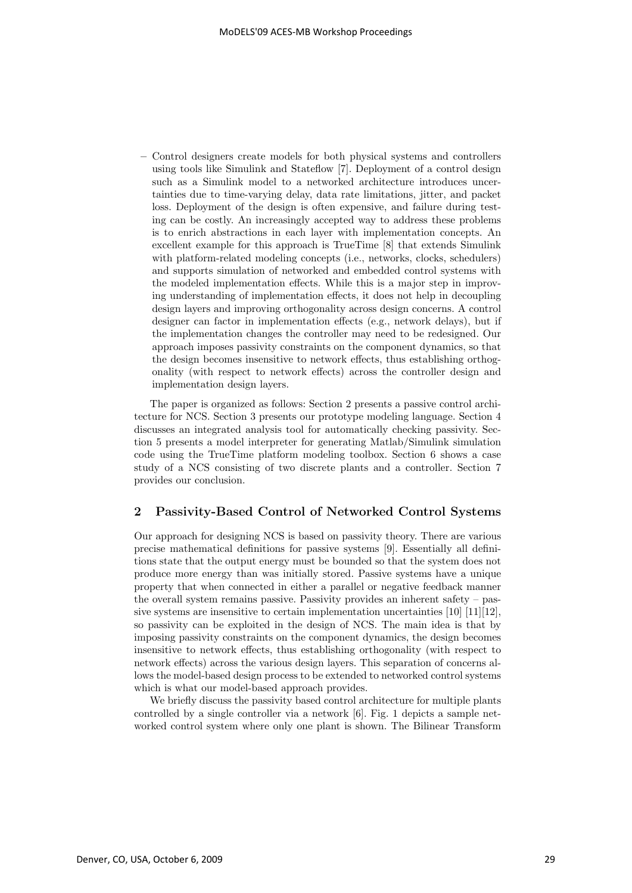**–** Control designers create models for both physical systems and controllers using tools like Simulink and Stateflow [7]. Deployment of a control design such as a Simulink model to a networked architecture introduces uncertainties due to time-varying delay, data rate limitations, jitter, and packet loss. Deployment of the design is often expensive, and failure during testing can be costly. An increasingly accepted way to address these problems is to enrich abstractions in each layer with implementation concepts. An excellent example for this approach is TrueTime [8] that extends Simulink with platform-related modeling concepts (i.e., networks, clocks, schedulers) and supports simulation of networked and embedded control systems with the modeled implementation effects. While this is a major step in improving understanding of implementation effects, it does not help in decoupling design layers and improving orthogonality across design concerns. A control designer can factor in implementation effects (e.g., network delays), but if the implementation changes the controller may need to be redesigned. Our approach imposes passivity constraints on the component dynamics, so that the design becomes insensitive to network effects, thus establishing orthogonality (with respect to network effects) across the controller design and implementation design layers.

The paper is organized as follows: Section 2 presents a passive control architecture for NCS. Section 3 presents our prototype modeling language. Section 4 discusses an integrated analysis tool for automatically checking passivity. Section 5 presents a model interpreter for generating Matlab/Simulink simulation code using the TrueTime platform modeling toolbox. Section 6 shows a case study of a NCS consisting of two discrete plants and a controller. Section 7 provides our conclusion.

## **2 Passivity-Based Control of Networked Control Systems**

Our approach for designing NCS is based on passivity theory. There are various precise mathematical definitions for passive systems [9]. Essentially all definitions state that the output energy must be bounded so that the system does not produce more energy than was initially stored. Passive systems have a unique property that when connected in either a parallel or negative feedback manner the overall system remains passive. Passivity provides an inherent safety – passive systems are insensitive to certain implementation uncertainties  $[10]$   $[11]$  $[12]$ , so passivity can be exploited in the design of NCS. The main idea is that by imposing passivity constraints on the component dynamics, the design becomes insensitive to network effects, thus establishing orthogonality (with respect to network effects) across the various design layers. This separation of concerns allows the model-based design process to be extended to networked control systems which is what our model-based approach provides.

We briefly discuss the passivity based control architecture for multiple plants controlled by a single controller via a network [6]. Fig. 1 depicts a sample networked control system where only one plant is shown. The Bilinear Transform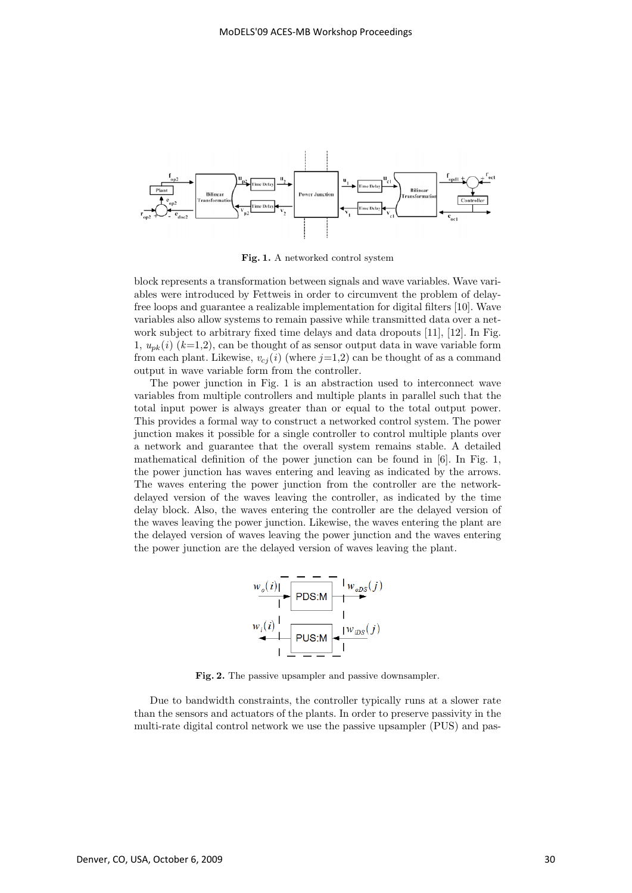

**Fig. 1.** A networked control system

block represents a transformation between signals and wave variables. Wave variables were introduced by Fettweis in order to circumvent the problem of delayfree loops and guarantee a realizable implementation for digital filters [10]. Wave variables also allow systems to remain passive while transmitted data over a network subject to arbitrary fixed time delays and data dropouts [11], [12]. In Fig. 1,  $u_{nk}(i)$  ( $k=1,2$ ), can be thought of as sensor output data in wave variable form from each plant. Likewise,  $v_{ci}(i)$  (where  $j=1,2$ ) can be thought of as a command output in wave variable form from the controller.

The power junction in Fig. 1 is an abstraction used to interconnect wave variables from multiple controllers and multiple plants in parallel such that the total input power is always greater than or equal to the total output power. This provides a formal way to construct a networked control system. The power junction makes it possible for a single controller to control multiple plants over a network and guarantee that the overall system remains stable. A detailed mathematical definition of the power junction can be found in [6]. In Fig. 1, the power junction has waves entering and leaving as indicated by the arrows. The waves entering the power junction from the controller are the networkdelayed version of the waves leaving the controller, as indicated by the time delay block. Also, the waves entering the controller are the delayed version of the waves leaving the power junction. Likewise, the waves entering the plant are the delayed version of waves leaving the power junction and the waves entering the power junction are the delayed version of waves leaving the plant.



**Fig. 2.** The passive upsampler and passive downsampler.

Due to bandwidth constraints, the controller typically runs at a slower rate than the sensors and actuators of the plants. In order to preserve passivity in the multi-rate digital control network we use the passive upsampler (PUS) and pas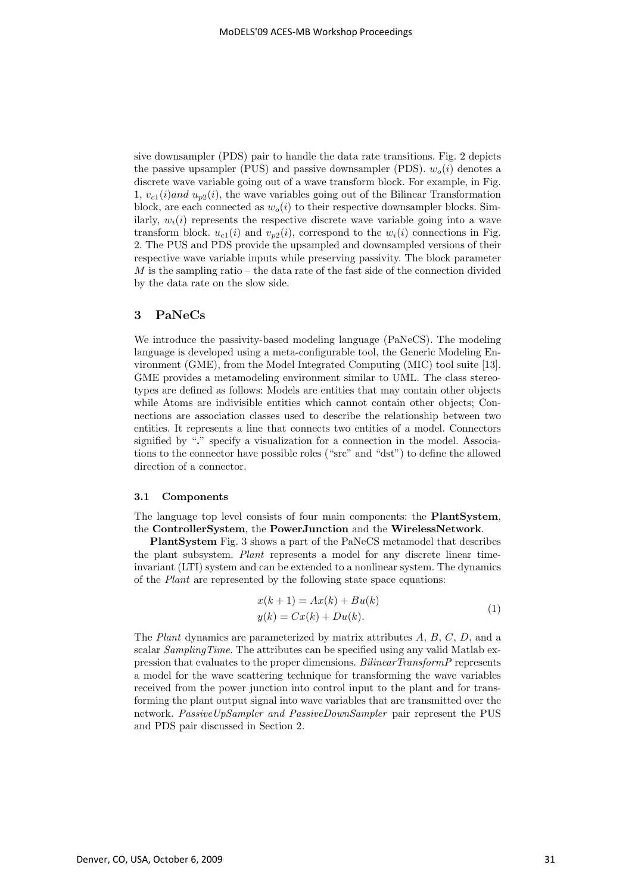sive downsampler (PDS) pair to handle the data rate transitions. Fig. 2 depicts the passive upsampler (PUS) and passive downsampler (PDS).  $w_o(i)$  denotes a discrete wave variable going out of a wave transform block. For example, in Fig. 1,  $v_{c1}(i)$  and  $u_{p2}(i)$ , the wave variables going out of the Bilinear Transformation block, are each connected as  $w_o(i)$  to their respective downsampler blocks. Similarly,  $w_i(i)$  represents the respective discrete wave variable going into a wave transform block.  $u_{c1}(i)$  and  $v_{p2}(i)$ , correspond to the  $w_i(i)$  connections in Fig. 2. The PUS and PDS provide the upsampled and downsampled versions of their respective wave variable inputs while preserving passivity. The block parameter  $M$  is the sampling ratio – the data rate of the fast side of the connection divided by the data rate on the slow side.

## **3 PaNeCs**

We introduce the passivity-based modeling language (PaNeCS). The modeling language is developed using a meta-configurable tool, the Generic Modeling Environment (GME), from the Model Integrated Computing (MIC) tool suite [13]. GME provides a metamodeling environment similar to UML. The class stereotypes are defined as follows: Models are entities that may contain other objects while Atoms are indivisible entities which cannot contain other objects; Connections are association classes used to describe the relationship between two entities. It represents a line that connects two entities of a model. Connectors signified by "**.**" specify a visualization for a connection in the model. Associations to the connector have possible roles ("src" and "dst") to define the allowed direction of a connector.

#### **3.1 Components**

The language top level consists of four main components: the **PlantSystem**, the **ControllerSystem**, the **PowerJunction** and the **WirelessNetwork**.

**PlantSystem** Fig. 3 shows a part of the PaNeCS metamodel that describes the plant subsystem. Plant represents a model for any discrete linear timeinvariant (LTI) system and can be extended to a nonlinear system. The dynamics of the Plant are represented by the following state space equations:

$$
x(k+1) = Ax(k) + Bu(k)
$$
  
\n
$$
y(k) = Cx(k) + Du(k).
$$
\n(1)

The Plant dynamics are parameterized by matrix attributes A, B, C, D, and a scalar SamplingTime. The attributes can be specified using any valid Matlab expression that evaluates to the proper dimensions. BilinearTransformP represents a model for the wave scattering technique for transforming the wave variables received from the power junction into control input to the plant and for transforming the plant output signal into wave variables that are transmitted over the network. PassiveUpSampler and PassiveDownSampler pair represent the PUS and PDS pair discussed in Section 2.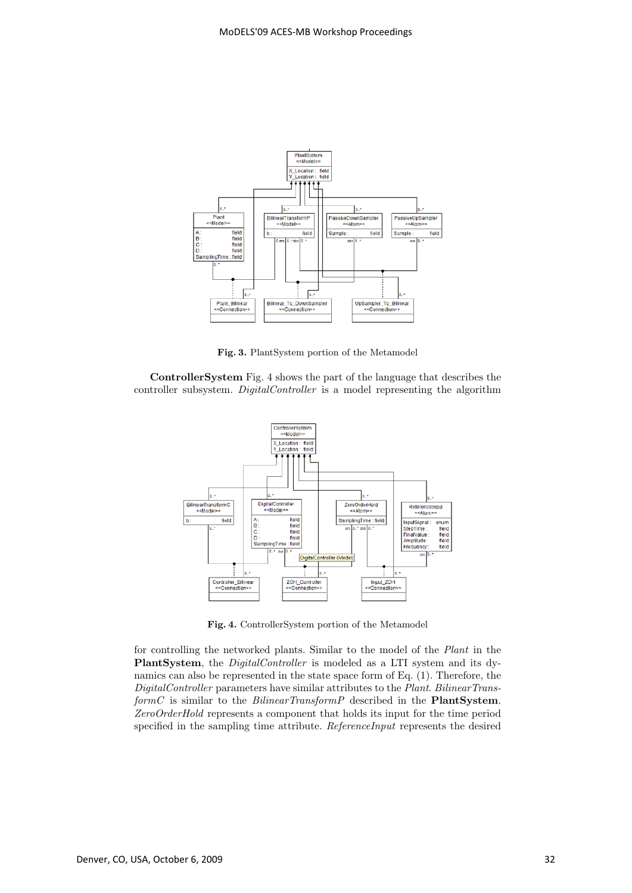

**Fig. 3.** PlantSystem portion of the Metamodel

**ControllerSystem** Fig. 4 shows the part of the language that describes the controller subsystem. DigitalController is a model representing the algorithm



**Fig. 4.** ControllerSystem portion of the Metamodel

for controlling the networked plants. Similar to the model of the Plant in the **PlantSystem**, the *DigitalController* is modeled as a LTI system and its dynamics can also be represented in the state space form of Eq. (1). Therefore, the DigitalController parameters have similar attributes to the Plant. BilinearTransformC is similar to the BilinearTransformP described in the **PlantSystem**. ZeroOrderHold represents a component that holds its input for the time period specified in the sampling time attribute. ReferenceInput represents the desired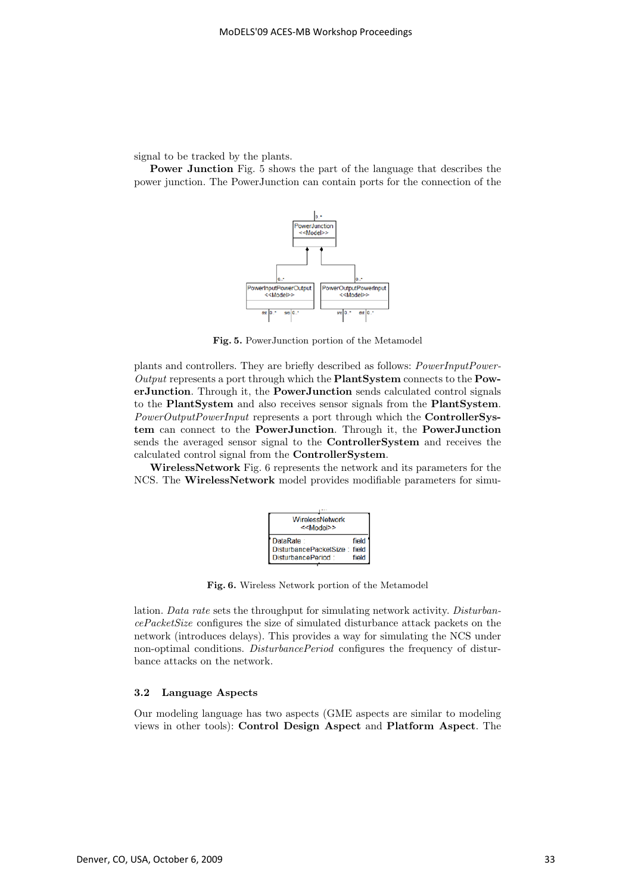signal to be tracked by the plants.

**Power Junction** Fig. 5 shows the part of the language that describes the power junction. The PowerJunction can contain ports for the connection of the



**Fig. 5.** PowerJunction portion of the Metamodel

plants and controllers. They are briefly described as follows: *PowerInputPower-*Output represents a port through which the **PlantSystem** connects to the **PowerJunction**. Through it, the **PowerJunction** sends calculated control signals to the **PlantSystem** and also receives sensor signals from the **PlantSystem**. PowerOutputPowerInput represents a port through which the **ControllerSystem** can connect to the **PowerJunction**. Through it, the **PowerJunction** sends the averaged sensor signal to the **ControllerSystem** and receives the calculated control signal from the **ControllerSystem**.

**WirelessNetwork** Fig. 6 represents the network and its parameters for the NCS. The **WirelessNetwork** model provides modifiable parameters for simu-



**Fig. 6.** Wireless Network portion of the Metamodel

lation. Data rate sets the throughput for simulating network activity. DisturbancePacketSize configures the size of simulated disturbance attack packets on the network (introduces delays). This provides a way for simulating the NCS under non-optimal conditions. *DisturbancePeriod* configures the frequency of disturbance attacks on the network.

### **3.2 Language Aspects**

Our modeling language has two aspects (GME aspects are similar to modeling views in other tools): **Control Design Aspect** and **Platform Aspect**. The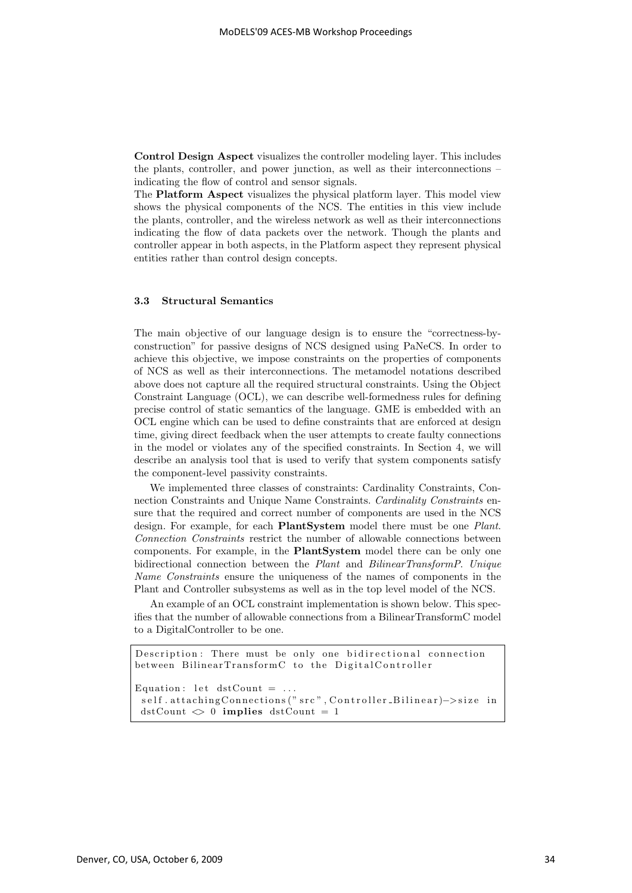**Control Design Aspect** visualizes the controller modeling layer. This includes the plants, controller, and power junction, as well as their interconnections – indicating the flow of control and sensor signals.

The **Platform Aspect** visualizes the physical platform layer. This model view shows the physical components of the NCS. The entities in this view include the plants, controller, and the wireless network as well as their interconnections indicating the flow of data packets over the network. Though the plants and controller appear in both aspects, in the Platform aspect they represent physical entities rather than control design concepts.

### **3.3 Structural Semantics**

The main objective of our language design is to ensure the "correctness-byconstruction" for passive designs of NCS designed using PaNeCS. In order to achieve this objective, we impose constraints on the properties of components of NCS as well as their interconnections. The metamodel notations described above does not capture all the required structural constraints. Using the Object Constraint Language (OCL), we can describe well-formedness rules for defining precise control of static semantics of the language. GME is embedded with an OCL engine which can be used to define constraints that are enforced at design time, giving direct feedback when the user attempts to create faulty connections in the model or violates any of the specified constraints. In Section 4, we will describe an analysis tool that is used to verify that system components satisfy the component-level passivity constraints.

We implemented three classes of constraints: Cardinality Constraints, Connection Constraints and Unique Name Constraints. Cardinality Constraints ensure that the required and correct number of components are used in the NCS design. For example, for each **PlantSystem** model there must be one Plant. Connection Constraints restrict the number of allowable connections between components. For example, in the **PlantSystem** model there can be only one bidirectional connection between the Plant and BilinearTransformP. Unique Name Constraints ensure the uniqueness of the names of components in the Plant and Controller subsystems as well as in the top level model of the NCS.

An example of an OCL constraint implementation is shown below. This specifies that the number of allowable connections from a BilinearTransformC model to a DigitalController to be one.

```
Description : There must be only one bidirectional connection
between BilinearTransformC to the DigitalController
Equation: let dstCount = \dotsself.attachingConnections (" src", Controller_Bilinear)->size in
dstCount \leq 0 implies dstCount = 1
```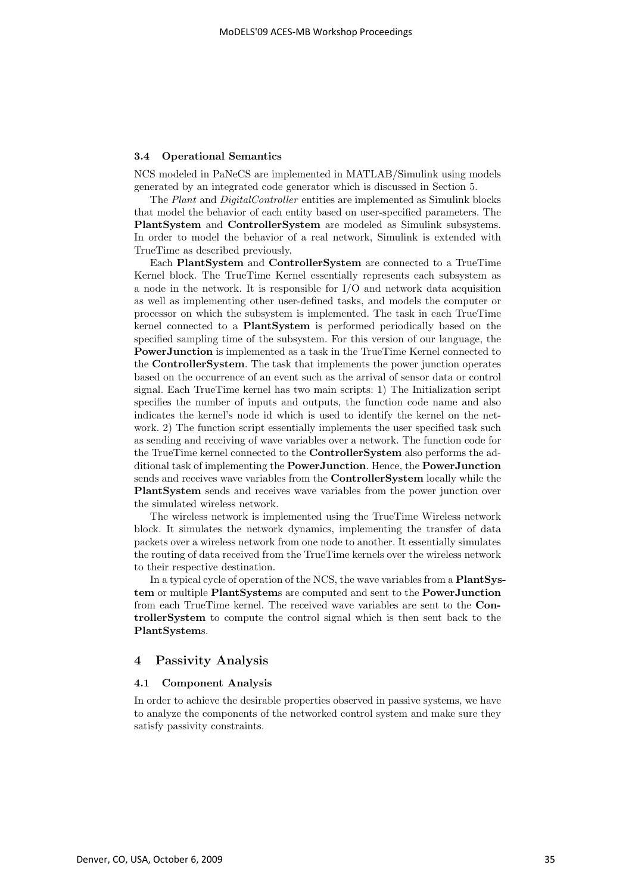#### **3.4 Operational Semantics**

NCS modeled in PaNeCS are implemented in MATLAB/Simulink using models generated by an integrated code generator which is discussed in Section 5.

The Plant and DigitalController entities are implemented as Simulink blocks that model the behavior of each entity based on user-specified parameters. The **PlantSystem** and **ControllerSystem** are modeled as Simulink subsystems. In order to model the behavior of a real network, Simulink is extended with TrueTime as described previously.

Each **PlantSystem** and **ControllerSystem** are connected to a TrueTime Kernel block. The TrueTime Kernel essentially represents each subsystem as a node in the network. It is responsible for I/O and network data acquisition as well as implementing other user-defined tasks, and models the computer or processor on which the subsystem is implemented. The task in each TrueTime kernel connected to a **PlantSystem** is performed periodically based on the specified sampling time of the subsystem. For this version of our language, the **PowerJunction** is implemented as a task in the TrueTime Kernel connected to the **ControllerSystem**. The task that implements the power junction operates based on the occurrence of an event such as the arrival of sensor data or control signal. Each TrueTime kernel has two main scripts: 1) The Initialization script specifies the number of inputs and outputs, the function code name and also indicates the kernel's node id which is used to identify the kernel on the network. 2) The function script essentially implements the user specified task such as sending and receiving of wave variables over a network. The function code for the TrueTime kernel connected to the **ControllerSystem** also performs the additional task of implementing the **PowerJunction**. Hence, the **PowerJunction** sends and receives wave variables from the **ControllerSystem** locally while the **PlantSystem** sends and receives wave variables from the power junction over the simulated wireless network.

The wireless network is implemented using the TrueTime Wireless network block. It simulates the network dynamics, implementing the transfer of data packets over a wireless network from one node to another. It essentially simulates the routing of data received from the TrueTime kernels over the wireless network to their respective destination.

In a typical cycle of operation of the NCS, the wave variables from a **PlantSystem** or multiple **PlantSystem**s are computed and sent to the **PowerJunction** from each TrueTime kernel. The received wave variables are sent to the **ControllerSystem** to compute the control signal which is then sent back to the **PlantSystem**s.

#### **4 Passivity Analysis**

#### **4.1 Component Analysis**

In order to achieve the desirable properties observed in passive systems, we have to analyze the components of the networked control system and make sure they satisfy passivity constraints.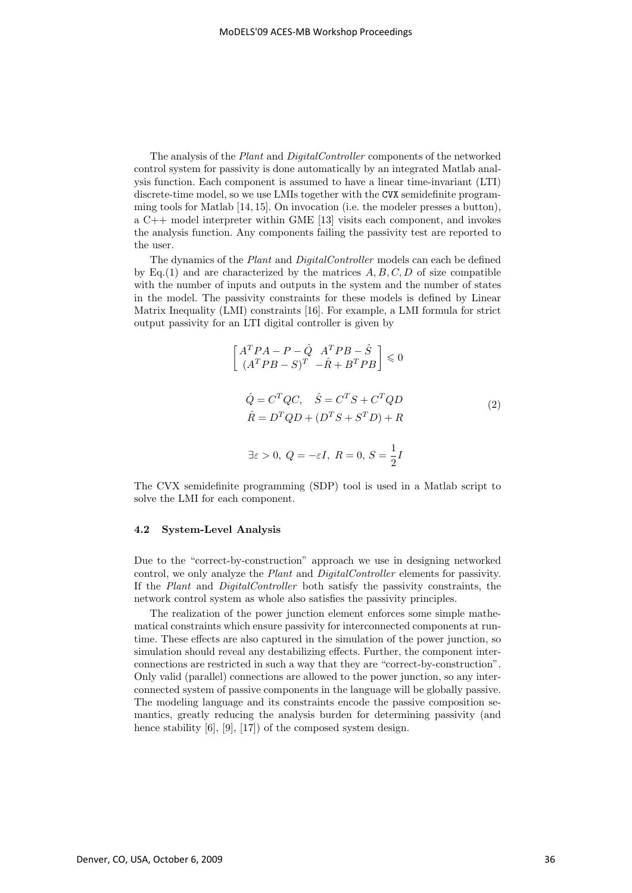The analysis of the Plant and DigitalController components of the networked control system for passivity is done automatically by an integrated Matlab analysis function. Each component is assumed to have a linear time-invariant (LTI) discrete-time model, so we use LMIs together with the CVX semidefinite programming tools for Matlab [14, 15]. On invocation (i.e. the modeler presses a button), a C++ model interpreter within GME [13] visits each component, and invokes the analysis function. Any components failing the passivity test are reported to the user.

The dynamics of the Plant and DigitalController models can each be defined by Eq.(1) and are characterized by the matrices  $A, B, C, D$  of size compatible with the number of inputs and outputs in the system and the number of states in the model. The passivity constraints for these models is defined by Linear Matrix Inequality (LMI) constraints [16]. For example, a LMI formula for strict output passivity for an LTI digital controller is given by

$$
\begin{bmatrix}\nA^T P A - P - \hat{Q} & A^T P B - \hat{S} \\
(A^T P B - S)^T & -\hat{R} + B^T P B\n\end{bmatrix} \leq 0
$$
\n
$$
\hat{Q} = C^T Q C, \quad \hat{S} = C^T S + C^T Q D
$$
\n
$$
\hat{R} = D^T Q D + (D^T S + S^T D) + R
$$
\n
$$
\exists \varepsilon > 0, \ Q = -\varepsilon I, \ R = 0, \ S = \frac{1}{2} I
$$
\n(2)

The CVX semidefinite programming (SDP) tool is used in a Matlab script to solve the LMI for each component.

#### **4.2 System-Level Analysis**

Due to the "correct-by-construction" approach we use in designing networked control, we only analyze the Plant and DigitalController elements for passivity. If the Plant and DigitalController both satisfy the passivity constraints, the network control system as whole also satisfies the passivity principles.

The realization of the power junction element enforces some simple mathematical constraints which ensure passivity for interconnected components at runtime. These effects are also captured in the simulation of the power junction, so simulation should reveal any destabilizing effects. Further, the component interconnections are restricted in such a way that they are "correct-by-construction". Only valid (parallel) connections are allowed to the power junction, so any interconnected system of passive components in the language will be globally passive. The modeling language and its constraints encode the passive composition semantics, greatly reducing the analysis burden for determining passivity (and hence stability [6], [9], [17]) of the composed system design.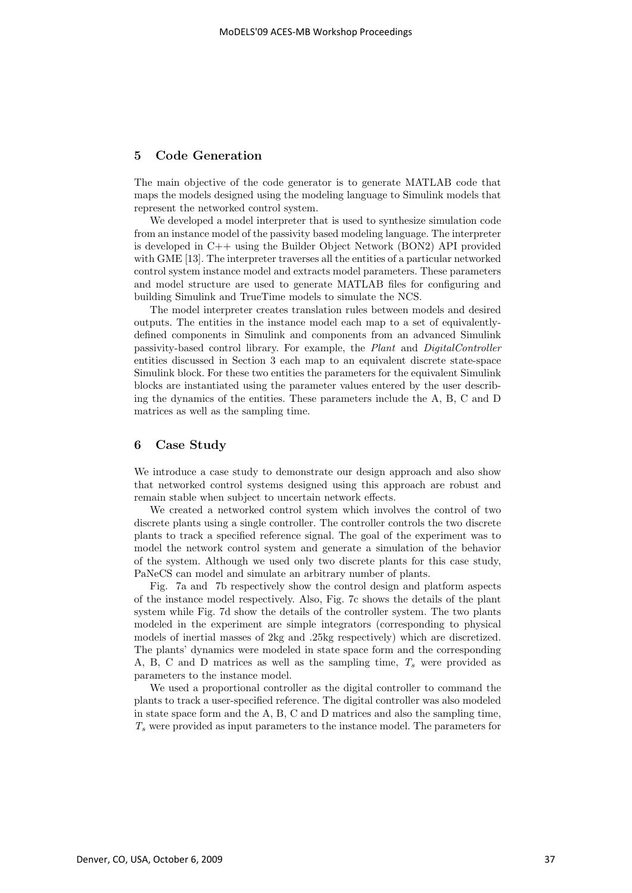# **5 Code Generation**

The main objective of the code generator is to generate MATLAB code that maps the models designed using the modeling language to Simulink models that represent the networked control system.

We developed a model interpreter that is used to synthesize simulation code from an instance model of the passivity based modeling language. The interpreter is developed in C++ using the Builder Object Network (BON2) API provided with GME [13]. The interpreter traverses all the entities of a particular networked control system instance model and extracts model parameters. These parameters and model structure are used to generate MATLAB files for configuring and building Simulink and TrueTime models to simulate the NCS.

The model interpreter creates translation rules between models and desired outputs. The entities in the instance model each map to a set of equivalentlydefined components in Simulink and components from an advanced Simulink passivity-based control library. For example, the Plant and DigitalController entities discussed in Section 3 each map to an equivalent discrete state-space Simulink block. For these two entities the parameters for the equivalent Simulink blocks are instantiated using the parameter values entered by the user describing the dynamics of the entities. These parameters include the A, B, C and D matrices as well as the sampling time.

## **6 Case Study**

We introduce a case study to demonstrate our design approach and also show that networked control systems designed using this approach are robust and remain stable when subject to uncertain network effects.

We created a networked control system which involves the control of two discrete plants using a single controller. The controller controls the two discrete plants to track a specified reference signal. The goal of the experiment was to model the network control system and generate a simulation of the behavior of the system. Although we used only two discrete plants for this case study, PaNeCS can model and simulate an arbitrary number of plants.

Fig. 7a and 7b respectively show the control design and platform aspects of the instance model respectively. Also, Fig. 7c shows the details of the plant system while Fig. 7d show the details of the controller system. The two plants modeled in the experiment are simple integrators (corresponding to physical models of inertial masses of 2kg and .25kg respectively) which are discretized. The plants' dynamics were modeled in state space form and the corresponding A, B, C and D matrices as well as the sampling time,  $T_s$  were provided as parameters to the instance model.

We used a proportional controller as the digital controller to command the plants to track a user-specified reference. The digital controller was also modeled in state space form and the A, B, C and D matrices and also the sampling time,  $T<sub>s</sub>$  were provided as input parameters to the instance model. The parameters for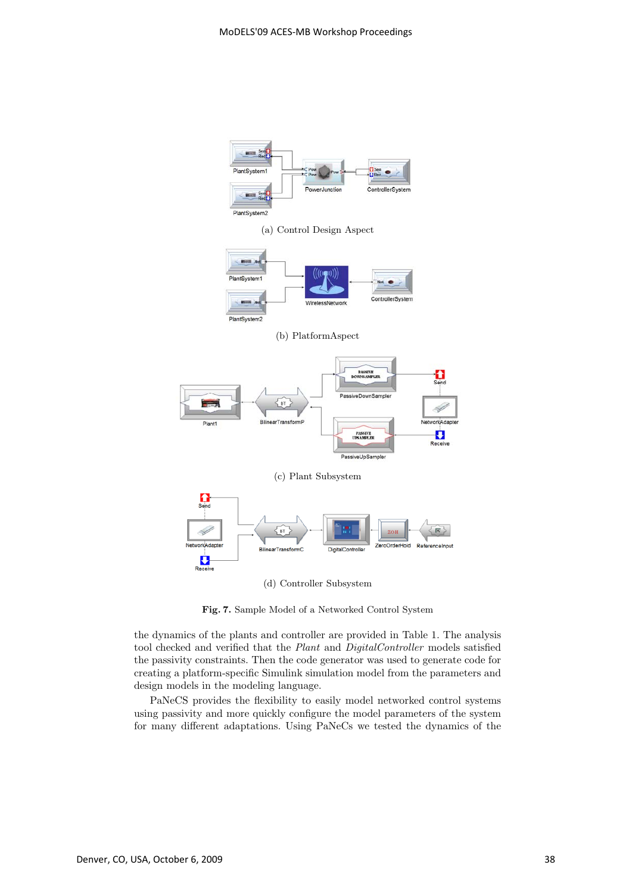

(a) Control Design Aspect



(b) PlatformAspect





(d) Controller Subsystem

**Fig. 7.** Sample Model of a Networked Control System

the dynamics of the plants and controller are provided in Table 1. The analysis tool checked and verified that the Plant and DigitalController models satisfied the passivity constraints. Then the code generator was used to generate code for creating a platform-specific Simulink simulation model from the parameters and design models in the modeling language.

PaNeCS provides the flexibility to easily model networked control systems using passivity and more quickly configure the model parameters of the system for many different adaptations. Using PaNeCs we tested the dynamics of the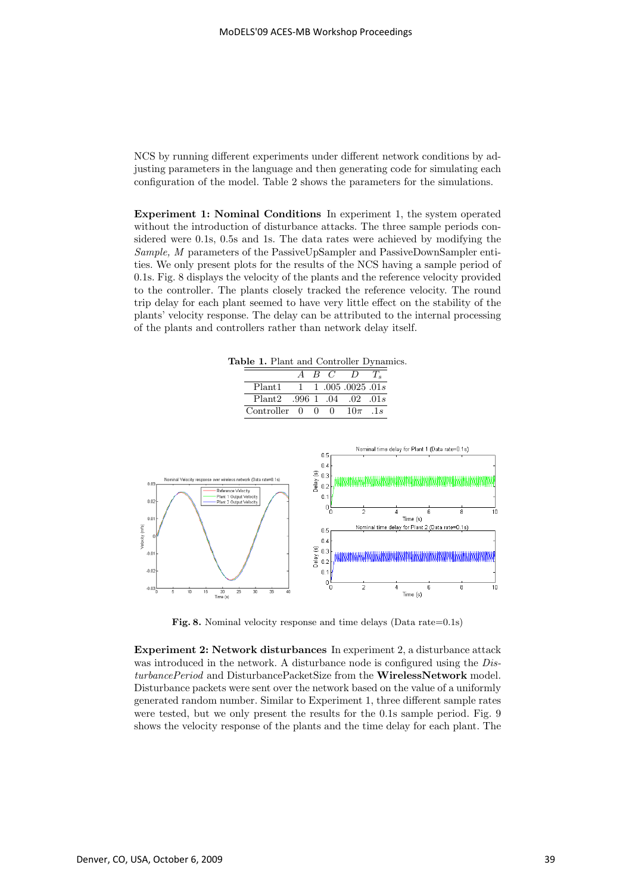NCS by running different experiments under different network conditions by adjusting parameters in the language and then generating code for simulating each configuration of the model. Table 2 shows the parameters for the simulations.

**Experiment 1: Nominal Conditions** In experiment 1, the system operated without the introduction of disturbance attacks. The three sample periods considered were 0.1s, 0.5s and 1s. The data rates were achieved by modifying the Sample, M parameters of the PassiveUpSampler and PassiveDownSampler entities. We only present plots for the results of the NCS having a sample period of 0.1s. Fig. 8 displays the velocity of the plants and the reference velocity provided to the controller. The plants closely tracked the reference velocity. The round trip delay for each plant seemed to have very little effect on the stability of the plants' velocity response. The delay can be attributed to the internal processing of the plants and controllers rather than network delay itself.

**Table 1.** Plant and Controller Dynamics.

|                            |        | BC.        |                                            |        |
|----------------------------|--------|------------|--------------------------------------------|--------|
| Plant <sub>1</sub>         |        |            | $1 \quad 1 \quad 005 \quad 0025 \quad 01s$ |        |
| Plant2 .996 1 .04 .02 .01s |        |            |                                            |        |
| Controller 0               | $\cup$ | $^{\circ}$ | $10\pi$                                    | . $1s$ |



**Fig. 8.** Nominal velocity response and time delays (Data rate=0.1s)

**Experiment 2: Network disturbances** In experiment 2, a disturbance attack was introduced in the network. A disturbance node is configured using the DisturbancePeriod and DisturbancePacketSize from the **WirelessNetwork** model. Disturbance packets were sent over the network based on the value of a uniformly generated random number. Similar to Experiment 1, three different sample rates were tested, but we only present the results for the 0.1s sample period. Fig. 9 shows the velocity response of the plants and the time delay for each plant. The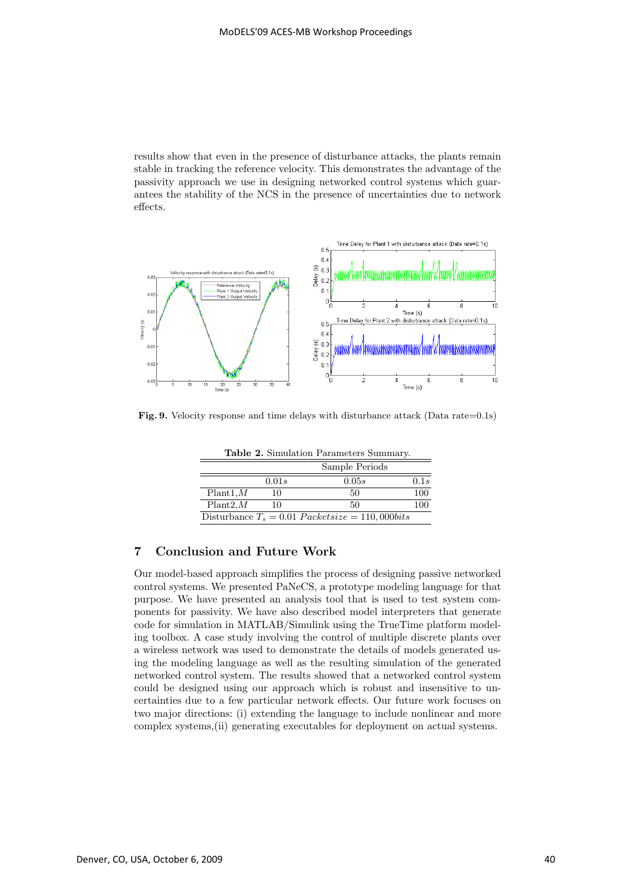results show that even in the presence of disturbance attacks, the plants remain stable in tracking the reference velocity. This demonstrates the advantage of the passivity approach we use in designing networked control systems which guarantees the stability of the NCS in the presence of uncertainties due to network effects.



**Fig. 9.** Velocity response and time delays with disturbance attack (Data rate=0.1s)

|           |       | <b>Table 2.</b> Simulation Parameters Summary.    |      |
|-----------|-------|---------------------------------------------------|------|
|           |       | Sample Periods                                    |      |
|           | 0.01s | 0.05s                                             | 0.1s |
| Plant1, M | 10    | 50                                                | 100  |
| Plant2, M | 10    | 50                                                | 100  |
|           |       | Disturbance $T_s = 0.01$ Packetsize = 110,000bits |      |

# **7 Conclusion and Future Work**

Our model-based approach simplifies the process of designing passive networked control systems. We presented PaNeCS, a prototype modeling language for that purpose. We have presented an analysis tool that is used to test system components for passivity. We have also described model interpreters that generate code for simulation in MATLAB/Simulink using the TrueTime platform modeling toolbox. A case study involving the control of multiple discrete plants over a wireless network was used to demonstrate the details of models generated using the modeling language as well as the resulting simulation of the generated networked control system. The results showed that a networked control system could be designed using our approach which is robust and insensitive to uncertainties due to a few particular network effects. Our future work focuses on two major directions: (i) extending the language to include nonlinear and more complex systems,(ii) generating executables for deployment on actual systems.